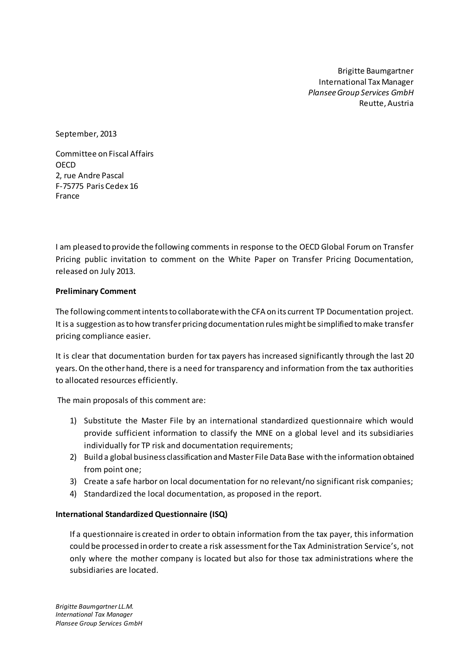Brigitte Baumgartner International Tax Manager *Plansee Group Services GmbH* Reutte, Austria

September, 2013

Committee on Fiscal Affairs OECD 2, rue Andre Pascal F-75775 Paris Cedex 16 France

I am pleased to provide the following comments in response to the OECD Global Forum on Transfer Pricing public invitation to comment on the White Paper on Transfer Pricing Documentation, released on July 2013.

### **Preliminary Comment**

The following comment intents to collaborate with the CFA on its current TP Documentation project. It is a suggestion as to how transfer pricing documentation rules might be simplified to make transfer pricing compliance easier.

It is clear that documentation burden for tax payers has increased significantly through the last 20 years. On the other hand, there is a need for transparency and information from the tax authorities to allocated resources efficiently.

The main proposals of this comment are:

- 1) Substitute the Master File by an international standardized questionnaire which would provide sufficient information to classify the MNE on a global level and its subsidiaries individually for TP risk and documentation requirements;
- 2) Build a global business classification and Master File Data Base with the information obtained from point one;
- 3) Create a safe harbor on local documentation for no relevant/no significant risk companies;
- 4) Standardized the local documentation, as proposed in the report.

### **International Standardized Questionnaire (ISQ)**

If a questionnaire is created in order to obtain information from the tax payer, this information could be processed in order to create a risk assessmentfor the Tax Administration Service's, not only where the mother company is located but also for those tax administrations where the subsidiaries are located.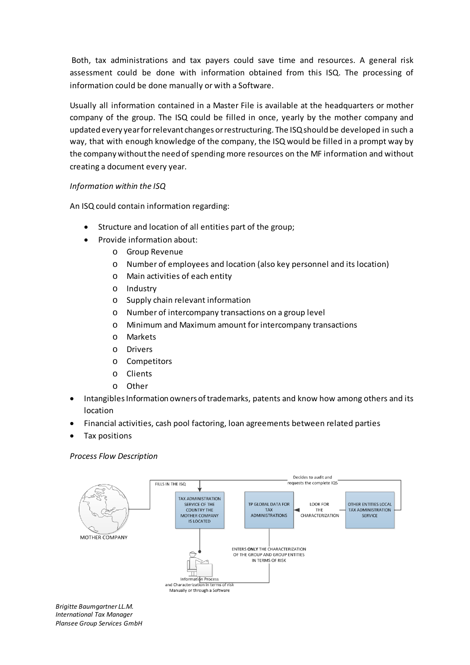Both, tax administrations and tax payers could save time and resources. A general risk assessment could be done with information obtained from this ISQ. The processing of information could be done manually or with a Software.

Usually all information contained in a Master File is available at the headquarters or mother company of the group. The ISQ could be filled in once, yearly by the mother company and updated every yearfor relevant changes or restructuring. The ISQ should be developed in such a way, that with enough knowledge of the company, the ISQ would be filled in a prompt way by the company without the need of spending more resources on the MF information and without creating a document every year.

# *Information within the ISQ*

An ISQ could contain information regarding:

- Structure and location of all entities part of the group;
- Provide information about:
	- o Group Revenue
	- o Number of employees and location (also key personnel and its location)
	- o Main activities of each entity
	- o Industry
	- o Supply chain relevant information
	- o Number of intercompany transactions on a group level
	- o Minimum and Maximum amount for intercompany transactions
	- o Markets
	- o Drivers
	- o Competitors
	- o Clients
	- o Other
- Intangibles Information owners of trademarks, patents and know how among others and its location
- Financial activities, cash pool factoring, loan agreements between related parties
- Tax positions

### *Process Flow Description*



*Brigitte Baumgartner LL.M. International Tax Manager Plansee Group Services GmbH*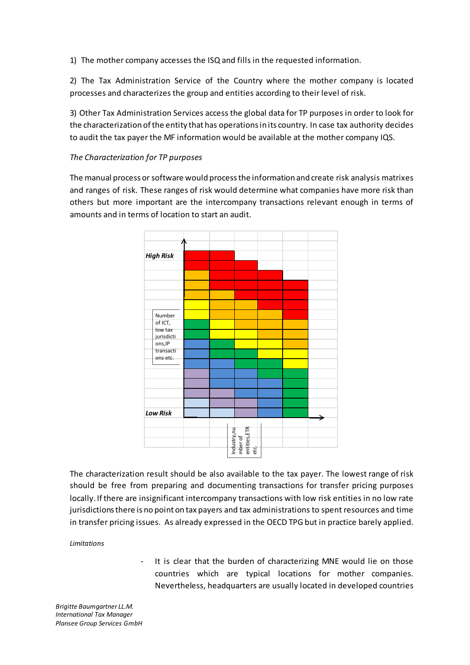1) The mother company accesses the ISQ and fills in the requested information.

2) The Tax Administration Service of the Country where the mother company is located processes and characterizes the group and entities according to their level of risk.

3) Other Tax Administration Services access the global data for TP purposes in order to look for the characterization of the entity that has operations in its country. In case tax authority decides to audit the tax payer the MF information would be available at the mother company IQS.

## *The Characterization for TP purposes*

The manual process or software would process the information and create risk analysis matrixes and ranges of risk. These ranges of risk would determine what companies have more risk than others but more important are the intercompany transactions relevant enough in terms of amounts and in terms of location to start an audit.



The characterization result should be also available to the tax payer. The lowest range of risk should be free from preparing and documenting transactions for transfer pricing purposes locally. If there are insignificant intercompany transactions with low risk entities in no low rate jurisdictions there is no point on tax payers and tax administrations to spent resources and time in transfer pricing issues. As already expressed in the OECD TPG but in practice barely applied.

*Limitations*

It is clear that the burden of characterizing MNE would lie on those countries which are typical locations for mother companies. Nevertheless, headquarters are usually located in developed countries